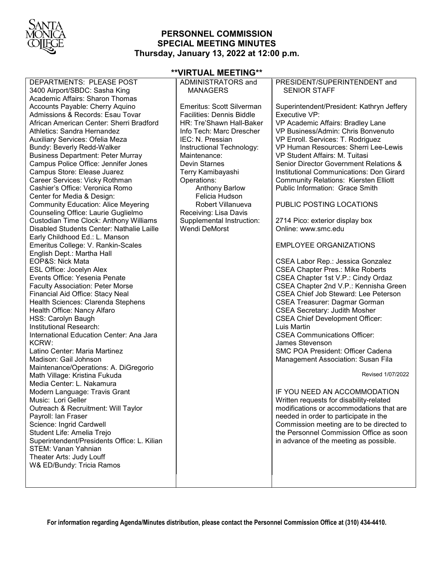

## **PERSONNEL COMMISSION SPECIAL MEETING MINUTES Thursday, January 13, 2022 at 12:00 p.m.**

| DEPARTMENTS: PLEASE POST                                           |
|--------------------------------------------------------------------|
| 3400 Airport/SBDC: Sasha King                                      |
| <b>Academic Affairs: Sharon Thomas</b>                             |
| Accounts Payable: Cherry Aquino                                    |
| Admissions & Records: Esau Tovar                                   |
| African American Center: Sherri Bradford                           |
| Athletics: Sandra Hernandez                                        |
| Auxiliary Services: Ofelia Meza                                    |
| Bundy: Beverly Redd-Walker                                         |
| <b>Business Department: Peter Murray</b>                           |
| Campus Police Office: Jennifer Jones                               |
| Campus Store: Elease Juarez                                        |
| Career Services: Vicky Rothman                                     |
| Cashier's Office: Veronica Romo                                    |
| Center for Media & Design:                                         |
| <b>Community Education: Alice Meyering</b>                         |
| Counseling Office: Laurie Guglielmo                                |
| Custodian Time Clock: Anthony Williams                             |
| Disabled Students Center: Nathalie Laille                          |
| Early Childhood Ed.: L. Manson                                     |
| Emeritus College: V. Rankin-Scales                                 |
| English Dept.: Martha Hall                                         |
| EOP&S: Nick Mata                                                   |
| <b>ESL Office: Jocelyn Alex</b>                                    |
| Events Office: Yesenia Penate                                      |
| <b>Faculty Association: Peter Morse</b>                            |
| Financial Aid Office: Stacy Neal                                   |
| Health Sciences: Clarenda Stephens                                 |
| Health Office: Nancy Alfaro                                        |
| HSS: Carolyn Baugh                                                 |
| Institutional Research:                                            |
| International Education Center: Ana Jara                           |
| KCRW:                                                              |
| Latino Center: Maria Martinez                                      |
| Madison: Gail Johnson                                              |
| Maintenance/Operations: A. DiGregorio                              |
| Math Village: Kristina Fukuda                                      |
| Media Center: L. Nakamura                                          |
| Modern Language: Travis Grant                                      |
| Music: Lori Geller                                                 |
| Outreach & Recruitment: Will Taylor                                |
| Payroll: Ian Fraser                                                |
| Science: Ingrid Cardwell                                           |
| Student Life: Amelia Trejo                                         |
|                                                                    |
| Superintendent/Presidents Office: L. Kilian<br>STEM: Vanan Yahnian |
| Theater Arts: Judy Louff                                           |
|                                                                    |
| W& ED/Bundy: Tricia Ramos                                          |
|                                                                    |

#### **\*\*VIRTUAL MEETING\*\*** ADMINISTRATORS and

MANAGERS

| <b>Emeritus: Scott Silverman</b><br><b>Facilities: Dennis Biddle</b><br>HR: Tre'Shawn Hall-Baker<br>Info Tech: Marc Drescher<br>IEC: N. Pressian<br>Instructional Technology:<br>Maintenance:<br><b>Devin Starnes</b><br>Terry Kamibayashi<br>Operations:<br><b>Anthony Barlow</b><br>Felicia Hudson<br>Robert Villanueva<br>Receiving: Lisa Davis<br>Supplemental Instruction:<br><b>Wendi DeMorst</b> | Superintendent/President: Kathryn Jeffery<br>Executive VP:<br>VP Academic Affairs: Bradley Lane<br>VP Business/Admin: Chris Bonvenuto<br>VP Enroll. Services: T. Rodriguez<br>VP Human Resources: Sherri Lee-Lewis<br>VP Student Affairs: M. Tuitasi<br>Senior Director Government Relations &<br>Institutional Communications: Don Girard<br><b>Community Relations: Kiersten Elliott</b><br>Public Information: Grace Smith<br>PUBLIC POSTING LOCATIONS<br>2714 Pico: exterior display box<br>Online: www.smc.edu<br><b>EMPLOYEE ORGANIZATIONS</b><br>CSEA Labor Rep.: Jessica Gonzalez<br><b>CSEA Chapter Pres.: Mike Roberts</b><br>CSEA Chapter 1st V.P.: Cindy Ordaz<br>CSEA Chapter 2nd V.P.: Kennisha Green<br><b>CSEA Chief Job Steward: Lee Peterson</b><br><b>CSEA Treasurer: Dagmar Gorman</b><br><b>CSEA Secretary: Judith Mosher</b><br><b>CSEA Chief Development Officer:</b><br>Luis Martin<br><b>CSEA Communications Officer:</b><br>James Stevenson |
|---------------------------------------------------------------------------------------------------------------------------------------------------------------------------------------------------------------------------------------------------------------------------------------------------------------------------------------------------------------------------------------------------------|-----------------------------------------------------------------------------------------------------------------------------------------------------------------------------------------------------------------------------------------------------------------------------------------------------------------------------------------------------------------------------------------------------------------------------------------------------------------------------------------------------------------------------------------------------------------------------------------------------------------------------------------------------------------------------------------------------------------------------------------------------------------------------------------------------------------------------------------------------------------------------------------------------------------------------------------------------------------------|
|                                                                                                                                                                                                                                                                                                                                                                                                         | <b>SMC POA President: Officer Cadena</b><br>Management Association: Susan Fila                                                                                                                                                                                                                                                                                                                                                                                                                                                                                                                                                                                                                                                                                                                                                                                                                                                                                        |
|                                                                                                                                                                                                                                                                                                                                                                                                         | Revised 1/07/2022                                                                                                                                                                                                                                                                                                                                                                                                                                                                                                                                                                                                                                                                                                                                                                                                                                                                                                                                                     |
|                                                                                                                                                                                                                                                                                                                                                                                                         | IF YOU NEED AN ACCOMMODATION<br>Written requests for disability-related<br>modifications or accommodations that are<br>needed in order to participate in the                                                                                                                                                                                                                                                                                                                                                                                                                                                                                                                                                                                                                                                                                                                                                                                                          |

Commission meeting are to be directed to the Personnel Commission Office as soon in advance of the meeting as possible.

PRESIDENT/SUPERINTENDENT and

SENIOR STAFF

**For information regarding Agenda/Minutes distribution, please contact the Personnel Commission Office at (310) 434-4410.**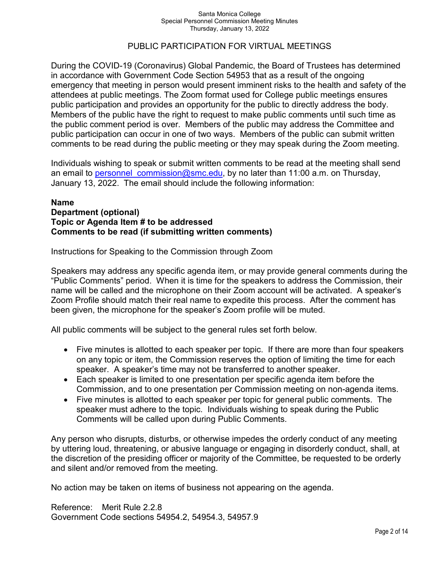#### Santa Monica College Special Personnel Commission Meeting Minutes Thursday, January 13, 2022

## PUBLIC PARTICIPATION FOR VIRTUAL MEETINGS

During the COVID-19 (Coronavirus) Global Pandemic, the Board of Trustees has determined in accordance with Government Code Section 54953 that as a result of the ongoing emergency that meeting in person would present imminent risks to the health and safety of the attendees at public meetings. The Zoom format used for College public meetings ensures public participation and provides an opportunity for the public to directly address the body. Members of the public have the right to request to make public comments until such time as the public comment period is over. Members of the public may address the Committee and public participation can occur in one of two ways. Members of the public can submit written comments to be read during the public meeting or they may speak during the Zoom meeting.

Individuals wishing to speak or submit written comments to be read at the meeting shall send an email to personnel commission@smc.edu, by no later than 11:00 a.m. on Thursday, January 13, 2022. The email should include the following information:

## **Name Department (optional) Topic or Agenda Item # to be addressed Comments to be read (if submitting written comments)**

Instructions for Speaking to the Commission through Zoom

Speakers may address any specific agenda item, or may provide general comments during the "Public Comments" period. When it is time for the speakers to address the Commission, their name will be called and the microphone on their Zoom account will be activated. A speaker's Zoom Profile should match their real name to expedite this process. After the comment has been given, the microphone for the speaker's Zoom profile will be muted.

All public comments will be subject to the general rules set forth below.

- Five minutes is allotted to each speaker per topic. If there are more than four speakers on any topic or item, the Commission reserves the option of limiting the time for each speaker. A speaker's time may not be transferred to another speaker.
- Each speaker is limited to one presentation per specific agenda item before the Commission, and to one presentation per Commission meeting on non-agenda items.
- Five minutes is allotted to each speaker per topic for general public comments. The speaker must adhere to the topic. Individuals wishing to speak during the Public Comments will be called upon during Public Comments.

Any person who disrupts, disturbs, or otherwise impedes the orderly conduct of any meeting by uttering loud, threatening, or abusive language or engaging in disorderly conduct, shall, at the discretion of the presiding officer or majority of the Committee, be requested to be orderly and silent and/or removed from the meeting.

No action may be taken on items of business not appearing on the agenda.

Reference: Merit Rule 2.2.8 Government Code sections 54954.2, 54954.3, 54957.9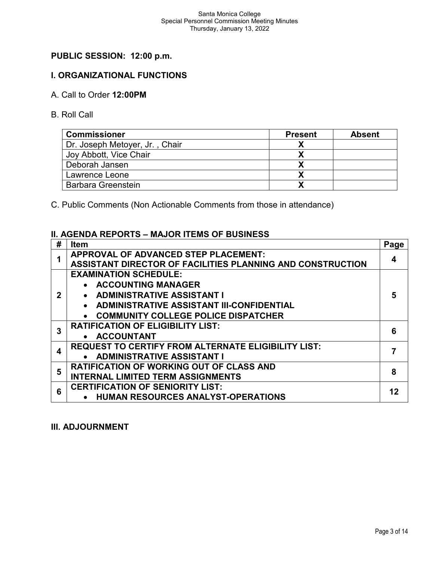# **PUBLIC SESSION: 12:00 p.m.**

## **I. ORGANIZATIONAL FUNCTIONS**

### A. Call to Order **12:00PM**

B. Roll Call

| <b>Commissioner</b>            | <b>Present</b> | Absent |
|--------------------------------|----------------|--------|
| Dr. Joseph Metoyer, Jr., Chair |                |        |
| Joy Abbott, Vice Chair         |                |        |
| Deborah Jansen                 |                |        |
| Lawrence Leone                 |                |        |
| <b>Barbara Greenstein</b>      |                |        |

C. Public Comments (Non Actionable Comments from those in attendance)

#### **II. AGENDA REPORTS – MAJOR ITEMS OF BUSINESS**

| # | <b>Item</b>                                                | Page |
|---|------------------------------------------------------------|------|
|   | APPROVAL OF ADVANCED STEP PLACEMENT:                       | 4    |
|   | ASSISTANT DIRECTOR OF FACILITIES PLANNING AND CONSTRUCTION |      |
|   | <b>EXAMINATION SCHEDULE:</b>                               |      |
|   | • ACCOUNTING MANAGER                                       |      |
|   | • ADMINISTRATIVE ASSISTANT I                               | 5    |
|   | • ADMINISTRATIVE ASSISTANT III-CONFIDENTIAL                |      |
|   | • COMMUNITY COLLEGE POLICE DISPATCHER                      |      |
| 3 | <b>RATIFICATION OF ELIGIBILITY LIST:</b>                   | 6    |
|   | • ACCOUNTANT                                               |      |
|   | <b>REQUEST TO CERTIFY FROM ALTERNATE ELIGIBILITY LIST:</b> |      |
|   | • ADMINISTRATIVE ASSISTANT I                               |      |
| 5 | <b>RATIFICATION OF WORKING OUT OF CLASS AND</b>            | 8    |
|   | <b>INTERNAL LIMITED TERM ASSIGNMENTS</b>                   |      |
| 6 | <b>CERTIFICATION OF SENIORITY LIST:</b>                    | 12   |
|   | <b>HUMAN RESOURCES ANALYST-OPERATIONS</b>                  |      |

#### **III. ADJOURNMENT**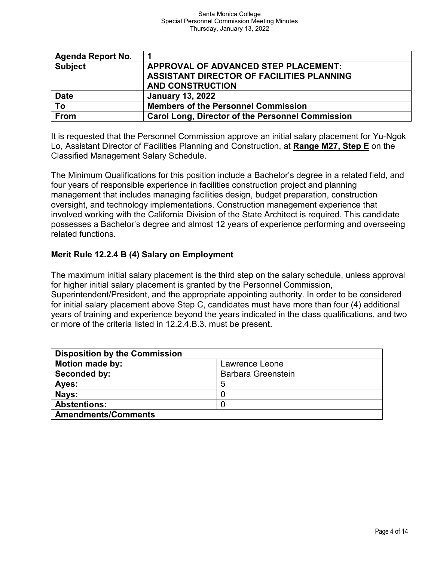| Agenda Report No. | 1                                                       |
|-------------------|---------------------------------------------------------|
| <b>Subject</b>    | APPROVAL OF ADVANCED STEP PLACEMENT:                    |
|                   | ASSISTANT DIRECTOR OF FACILITIES PLANNING               |
|                   | <b>AND CONSTRUCTION</b>                                 |
| <b>Date</b>       | <b>January 13, 2022</b>                                 |
| To                | <b>Members of the Personnel Commission</b>              |
| From              | <b>Carol Long, Director of the Personnel Commission</b> |

It is requested that the Personnel Commission approve an initial salary placement for Yu-Ngok Lo, Assistant Director of Facilities Planning and Construction, at **Range M27, Step E** on the Classified Management Salary Schedule.

The Minimum Qualifications for this position include a Bachelor's degree in a related field, and four years of responsible experience in facilities construction project and planning management that includes managing facilities design, budget preparation, construction oversight, and technology implementations. Construction management experience that involved working with the California Division of the State Architect is required. This candidate possesses a Bachelor's degree and almost 12 years of experience performing and overseeing related functions.

## **Merit Rule 12.2.4 B (4) Salary on Employment**

The maximum initial salary placement is the third step on the salary schedule, unless approval for higher initial salary placement is granted by the Personnel Commission,

Superintendent/President, and the appropriate appointing authority. In order to be considered for initial salary placement above Step C, candidates must have more than four (4) additional years of training and experience beyond the years indicated in the class qualifications, and two or more of the criteria listed in 12.2.4.B.3. must be present.

| <b>Disposition by the Commission</b> |                           |  |
|--------------------------------------|---------------------------|--|
| <b>Motion made by:</b>               | Lawrence Leone            |  |
| Seconded by:                         | <b>Barbara Greenstein</b> |  |
| Ayes:                                | 5                         |  |
| Nays:                                |                           |  |
| <b>Abstentions:</b>                  |                           |  |
| <b>Amendments/Comments</b>           |                           |  |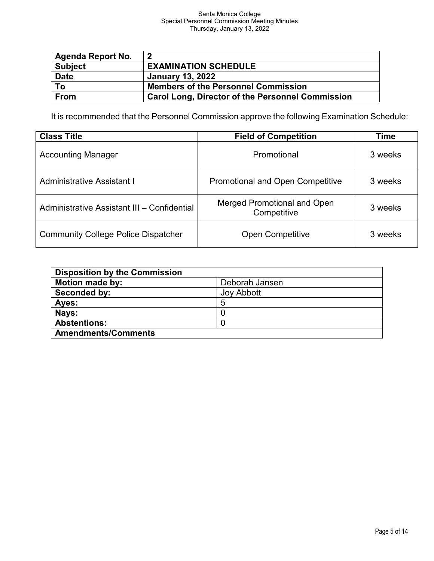#### Santa Monica College Special Personnel Commission Meeting Minutes Thursday, January 13, 2022

| <b>Agenda Report No.</b> | 2                                                       |
|--------------------------|---------------------------------------------------------|
| <b>Subject</b>           | <b>EXAMINATION SCHEDULE</b>                             |
| <b>Date</b>              | <b>January 13, 2022</b>                                 |
| To                       | <b>Members of the Personnel Commission</b>              |
| From                     | <b>Carol Long, Director of the Personnel Commission</b> |

It is recommended that the Personnel Commission approve the following Examination Schedule:

| <b>Class Title</b>                          | <b>Field of Competition</b>                       | Time    |
|---------------------------------------------|---------------------------------------------------|---------|
| <b>Accounting Manager</b>                   | Promotional                                       | 3 weeks |
| <b>Administrative Assistant I</b>           | <b>Promotional and Open Competitive</b>           | 3 weeks |
| Administrative Assistant III - Confidential | <b>Merged Promotional and Open</b><br>Competitive | 3 weeks |
| <b>Community College Police Dispatcher</b>  | <b>Open Competitive</b>                           | 3 weeks |

| <b>Disposition by the Commission</b> |                   |
|--------------------------------------|-------------------|
| <b>Motion made by:</b>               | Deborah Jansen    |
| Seconded by:                         | <b>Joy Abbott</b> |
| Ayes:                                |                   |
| Nays:                                |                   |
| <b>Abstentions:</b>                  |                   |
| <b>Amendments/Comments</b>           |                   |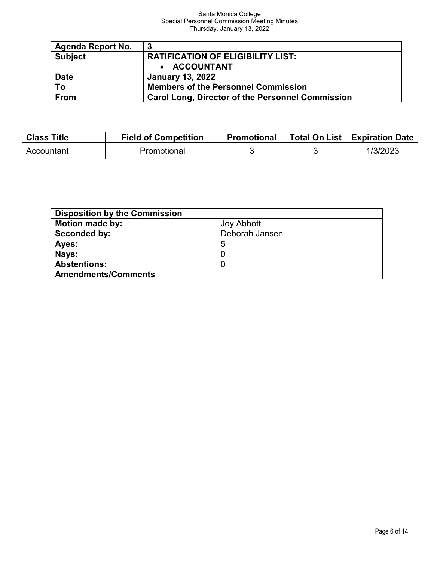#### Santa Monica College Special Personnel Commission Meeting Minutes Thursday, January 13, 2022

| <b>Agenda Report No.</b> | - 3                                                     |
|--------------------------|---------------------------------------------------------|
| <b>Subject</b>           | <b>RATIFICATION OF ELIGIBILITY LIST:</b>                |
|                          | • ACCOUNTANT                                            |
| <b>Date</b>              | <b>January 13, 2022</b>                                 |
| $\overline{To}$          | <b>Members of the Personnel Commission</b>              |
| From                     | <b>Carol Long, Director of the Personnel Commission</b> |

| <b>Class Title</b> | <b>Field of Competition</b> | <b>Promotional</b> | Total On List   Expiration Date |
|--------------------|-----------------------------|--------------------|---------------------------------|
| Accountant         | Promotional                 |                    | 1/3/2023                        |

| <b>Disposition by the Commission</b> |                   |  |
|--------------------------------------|-------------------|--|
| <b>Motion made by:</b>               | <b>Joy Abbott</b> |  |
| Seconded by:                         | Deborah Jansen    |  |
| Ayes:                                | 5                 |  |
| Nays:                                |                   |  |
| <b>Abstentions:</b>                  |                   |  |
| <b>Amendments/Comments</b>           |                   |  |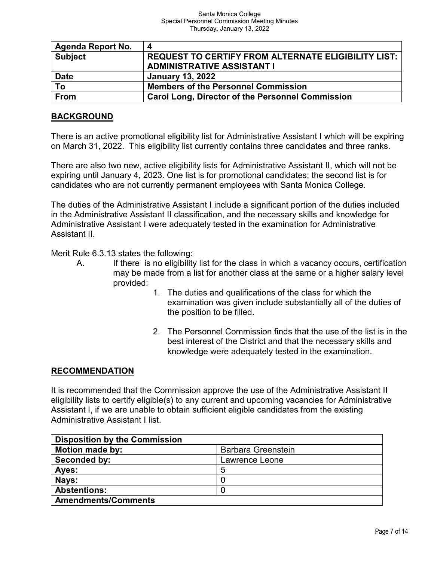| <b>Agenda Report No.</b> | Δ                                                       |
|--------------------------|---------------------------------------------------------|
| <b>Subject</b>           | REQUEST TO CERTIFY FROM ALTERNATE ELIGIBILITY LIST:     |
|                          | <b>ADMINISTRATIVE ASSISTANT I</b>                       |
| <b>Date</b>              | <b>January 13, 2022</b>                                 |
| To                       | <b>Members of the Personnel Commission</b>              |
| <b>From</b>              | <b>Carol Long, Director of the Personnel Commission</b> |

## **BACKGROUND**

There is an active promotional eligibility list for Administrative Assistant I which will be expiring on March 31, 2022. This eligibility list currently contains three candidates and three ranks.

There are also two new, active eligibility lists for Administrative Assistant II, which will not be expiring until January 4, 2023. One list is for promotional candidates; the second list is for candidates who are not currently permanent employees with Santa Monica College.

The duties of the Administrative Assistant I include a significant portion of the duties included in the Administrative Assistant II classification, and the necessary skills and knowledge for Administrative Assistant I were adequately tested in the examination for Administrative Assistant II.

Merit Rule 6.3.13 states the following:

- A. If there is no eligibility list for the class in which a vacancy occurs, certification may be made from a list for another class at the same or a higher salary level provided:
	- 1. The duties and qualifications of the class for which the examination was given include substantially all of the duties of the position to be filled.
	- 2. The Personnel Commission finds that the use of the list is in the best interest of the District and that the necessary skills and knowledge were adequately tested in the examination.

## **RECOMMENDATION**

It is recommended that the Commission approve the use of the Administrative Assistant II eligibility lists to certify eligible(s) to any current and upcoming vacancies for Administrative Assistant I, if we are unable to obtain sufficient eligible candidates from the existing Administrative Assistant I list.

| <b>Disposition by the Commission</b> |                           |
|--------------------------------------|---------------------------|
| <b>Motion made by:</b>               | <b>Barbara Greenstein</b> |
| Seconded by:                         | Lawrence Leone            |
| Ayes:                                | 5                         |
| Nays:                                |                           |
| <b>Abstentions:</b>                  |                           |
| <b>Amendments/Comments</b>           |                           |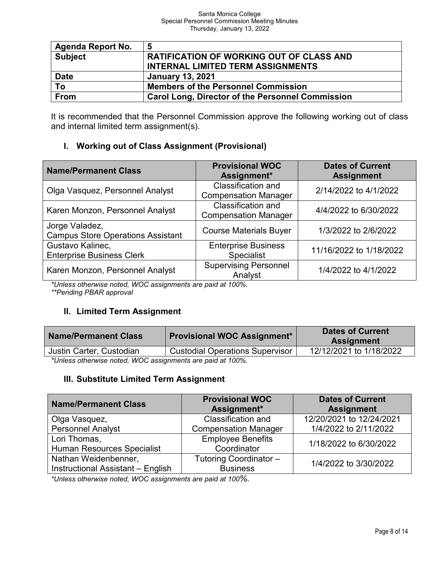| <b>Agenda Report No.</b> | -5                                                      |
|--------------------------|---------------------------------------------------------|
| <b>Subject</b>           | <b>RATIFICATION OF WORKING OUT OF CLASS AND</b>         |
|                          | <b>INTERNAL LIMITED TERM ASSIGNMENTS</b>                |
| <b>Date</b>              | <b>January 13, 2021</b>                                 |
| To                       | <b>Members of the Personnel Commission</b>              |
| From                     | <b>Carol Long, Director of the Personnel Commission</b> |

It is recommended that the Personnel Commission approve the following working out of class and internal limited term assignment(s).

# **I. Working out of Class Assignment (Provisional)**

| <b>Name/Permanent Class</b>                                | <b>Provisional WOC</b><br>Assignment*                    | <b>Dates of Current</b><br><b>Assignment</b> |  |
|------------------------------------------------------------|----------------------------------------------------------|----------------------------------------------|--|
| Olga Vasquez, Personnel Analyst                            | Classification and<br><b>Compensation Manager</b>        | 2/14/2022 to 4/1/2022                        |  |
| Karen Monzon, Personnel Analyst                            | <b>Classification and</b><br><b>Compensation Manager</b> | 4/4/2022 to 6/30/2022                        |  |
| Jorge Valadez,<br><b>Campus Store Operations Assistant</b> | <b>Course Materials Buyer</b>                            | 1/3/2022 to 2/6/2022                         |  |
| Gustavo Kalinec,<br><b>Enterprise Business Clerk</b>       | <b>Enterprise Business</b><br><b>Specialist</b>          | 11/16/2022 to 1/18/2022                      |  |
| Karen Monzon, Personnel Analyst                            | <b>Supervising Personnel</b><br>Analyst                  | 1/4/2022 to 4/1/2022                         |  |

*\*Unless otherwise noted, WOC assignments are paid at 100%. \*\*Pending PBAR approval*

## **II. Limited Term Assignment**

| <b>Name/Permanent Class</b>                                | <b>Provisional WOC Assignment*</b> | <b>Dates of Current</b><br><b>Assignment</b> |  |  |
|------------------------------------------------------------|------------------------------------|----------------------------------------------|--|--|
| Justin Carter, Custodian                                   | 12/12/2021 to 1/18/2022            |                                              |  |  |
| *Unless otherwise noted, WOC assignments are paid at 100%. |                                    |                                              |  |  |

## **III. Substitute Limited Term Assignment**

| <b>Name/Permanent Class</b>       | <b>Provisional WOC</b>                               | <b>Dates of Current</b>  |  |
|-----------------------------------|------------------------------------------------------|--------------------------|--|
|                                   | Assignment*                                          | <b>Assignment</b>        |  |
| Olga Vasquez,                     | <b>Classification and</b>                            | 12/20/2021 to 12/24/2021 |  |
| <b>Personnel Analyst</b>          | 1/4/2022 to 2/11/2022<br><b>Compensation Manager</b> |                          |  |
| Lori Thomas,                      | <b>Employee Benefits</b>                             | 1/18/2022 to 6/30/2022   |  |
| <b>Human Resources Specialist</b> | Coordinator                                          |                          |  |
| Nathan Weidenbenner,              | Tutoring Coordinator -                               | 1/4/2022 to 3/30/2022    |  |
| Instructional Assistant - English | <b>Business</b>                                      |                          |  |

*\*Unless otherwise noted, WOC assignments are paid at 100%.*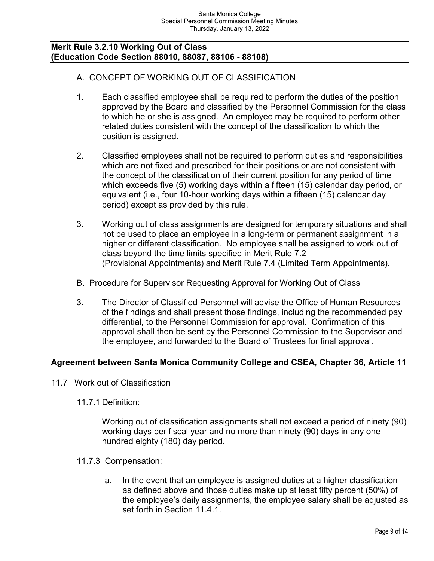### **Merit Rule 3.2.10 Working Out of Class (Education Code Section 88010, 88087, 88106 - 88108)**

## A. CONCEPT OF WORKING OUT OF CLASSIFICATION

- 1. Each classified employee shall be required to perform the duties of the position approved by the Board and classified by the Personnel Commission for the class to which he or she is assigned. An employee may be required to perform other related duties consistent with the concept of the classification to which the position is assigned.
- 2. Classified employees shall not be required to perform duties and responsibilities which are not fixed and prescribed for their positions or are not consistent with the concept of the classification of their current position for any period of time which exceeds five (5) working days within a fifteen (15) calendar day period, or equivalent (i.e., four 10-hour working days within a fifteen (15) calendar day period) except as provided by this rule.
- 3. Working out of class assignments are designed for temporary situations and shall not be used to place an employee in a long-term or permanent assignment in a higher or different classification. No employee shall be assigned to work out of class beyond the time limits specified in Merit Rule 7.2 (Provisional Appointments) and Merit Rule 7.4 (Limited Term Appointments).
- B. Procedure for Supervisor Requesting Approval for Working Out of Class
- 3. The Director of Classified Personnel will advise the Office of Human Resources of the findings and shall present those findings, including the recommended pay differential, to the Personnel Commission for approval. Confirmation of this approval shall then be sent by the Personnel Commission to the Supervisor and the employee, and forwarded to the Board of Trustees for final approval.

## **Agreement between Santa Monica Community College and CSEA, Chapter 36, Article 11**

- 11.7 Work out of Classification
	- 11.7.1 Definition:

Working out of classification assignments shall not exceed a period of ninety (90) working days per fiscal year and no more than ninety (90) days in any one hundred eighty (180) day period.

- 11.7.3 Compensation:
	- a. In the event that an employee is assigned duties at a higher classification as defined above and those duties make up at least fifty percent (50%) of the employee's daily assignments, the employee salary shall be adjusted as set forth in Section 11.4.1.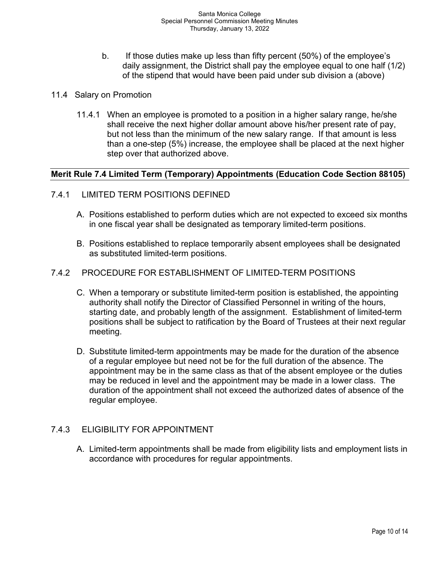- b. If those duties make up less than fifty percent (50%) of the employee's daily assignment, the District shall pay the employee equal to one half (1/2) of the stipend that would have been paid under sub division a (above)
- 11.4 Salary on Promotion
	- 11.4.1 When an employee is promoted to a position in a higher salary range, he/she shall receive the next higher dollar amount above his/her present rate of pay, but not less than the minimum of the new salary range. If that amount is less than a one-step (5%) increase, the employee shall be placed at the next higher step over that authorized above.

## **Merit Rule 7.4 Limited Term (Temporary) Appointments (Education Code Section 88105)**

- 7.4.1 LIMITED TERM POSITIONS DEFINED
	- A. Positions established to perform duties which are not expected to exceed six months in one fiscal year shall be designated as temporary limited-term positions.
	- B. Positions established to replace temporarily absent employees shall be designated as substituted limited-term positions.

## 7.4.2 PROCEDURE FOR ESTABLISHMENT OF LIMITED-TERM POSITIONS

- C. When a temporary or substitute limited-term position is established, the appointing authority shall notify the Director of Classified Personnel in writing of the hours, starting date, and probably length of the assignment. Establishment of limited-term positions shall be subject to ratification by the Board of Trustees at their next regular meeting.
- D. Substitute limited-term appointments may be made for the duration of the absence of a regular employee but need not be for the full duration of the absence. The appointment may be in the same class as that of the absent employee or the duties may be reduced in level and the appointment may be made in a lower class. The duration of the appointment shall not exceed the authorized dates of absence of the regular employee.

## 7.4.3 ELIGIBILITY FOR APPOINTMENT

A. Limited-term appointments shall be made from eligibility lists and employment lists in accordance with procedures for regular appointments.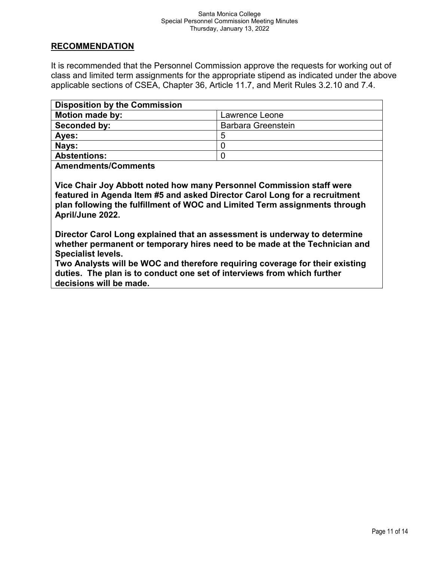## **RECOMMENDATION**

It is recommended that the Personnel Commission approve the requests for working out of class and limited term assignments for the appropriate stipend as indicated under the above applicable sections of CSEA, Chapter 36, Article 11.7, and Merit Rules 3.2.10 and 7.4.

| <b>Disposition by the Commission</b> |                           |
|--------------------------------------|---------------------------|
| <b>Motion made by:</b>               | Lawrence Leone            |
| Seconded by:                         | <b>Barbara Greenstein</b> |
| Ayes:                                | 5                         |
| Nays:                                |                           |
| <b>Abstentions:</b>                  |                           |
|                                      |                           |

**Amendments/Comments**

**Vice Chair Joy Abbott noted how many Personnel Commission staff were featured in Agenda Item #5 and asked Director Carol Long for a recruitment plan following the fulfillment of WOC and Limited Term assignments through April/June 2022.**

**Director Carol Long explained that an assessment is underway to determine whether permanent or temporary hires need to be made at the Technician and Specialist levels.**

**Two Analysts will be WOC and therefore requiring coverage for their existing duties. The plan is to conduct one set of interviews from which further decisions will be made.**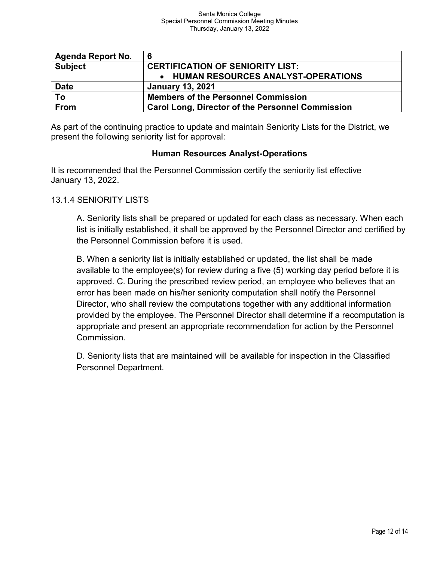| <b>Agenda Report No.</b> | 6                                                       |
|--------------------------|---------------------------------------------------------|
| <b>Subject</b>           | <b>CERTIFICATION OF SENIORITY LIST:</b>                 |
|                          | • HUMAN RESOURCES ANALYST-OPERATIONS                    |
| <b>Date</b>              | <b>January 13, 2021</b>                                 |
| To                       | <b>Members of the Personnel Commission</b>              |
| From                     | <b>Carol Long, Director of the Personnel Commission</b> |

As part of the continuing practice to update and maintain Seniority Lists for the District, we present the following seniority list for approval:

## **Human Resources Analyst-Operations**

It is recommended that the Personnel Commission certify the seniority list effective January 13, 2022.

## 13.1.4 SENIORITY LISTS

A. Seniority lists shall be prepared or updated for each class as necessary. When each list is initially established, it shall be approved by the Personnel Director and certified by the Personnel Commission before it is used.

B. When a seniority list is initially established or updated, the list shall be made available to the employee(s) for review during a five (5) working day period before it is approved. C. During the prescribed review period, an employee who believes that an error has been made on his/her seniority computation shall notify the Personnel Director, who shall review the computations together with any additional information provided by the employee. The Personnel Director shall determine if a recomputation is appropriate and present an appropriate recommendation for action by the Personnel Commission.

D. Seniority lists that are maintained will be available for inspection in the Classified Personnel Department.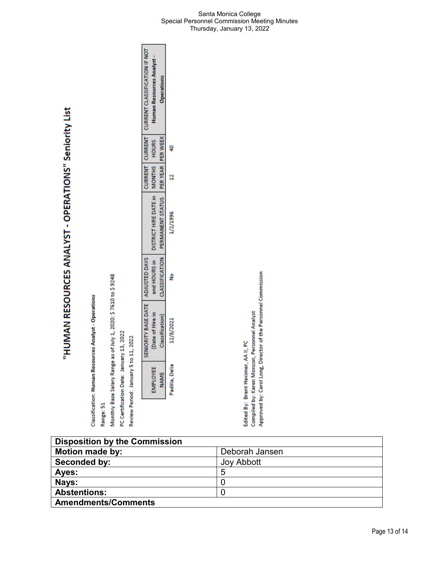"HUMAN RESOURCES ANALYST - OPERATIONS" Seniority List

Range: 51

Monthly Base Salary Range as of July 1, 2020: \$7610 to \$9248

PC Certification Date: January 13, 2022

Review Period: January 5 to 11, 2022

| and HOURS in   DISTRICT HIRE DATE in   MONTHS   HOURS<br>ş | CLASSIFICATION   PERMANENT STATUS   PER YEAR   PER WEEK<br>I SENIORITY BASE DATE I ADJUSTED DAYS<br>Date of Hire in<br><b>Classification</b> )<br>12/8/2021 |
|------------------------------------------------------------|-------------------------------------------------------------------------------------------------------------------------------------------------------------|
|                                                            |                                                                                                                                                             |

П

┑

Approved by: Carol Long, Director of the Personnel Commission Compiled by: Karen Monzon, Personnel Analyst Edited By: Brent Heximer, AA II, PC

**Disposition by the Commission Motion made by:**<br> **Deborah Jansen**<br> **Deborah Jansen**<br>
Joy Abbott **Seconded by: Ayes:** 5 **Nays:** 0<br> **Abstentions:** 0 **Abstentions:** 0 **Amendments/Comments**

#### Santa Monica College Special Personnel Commission Meeting Minutes Thursday, January 13, 2022